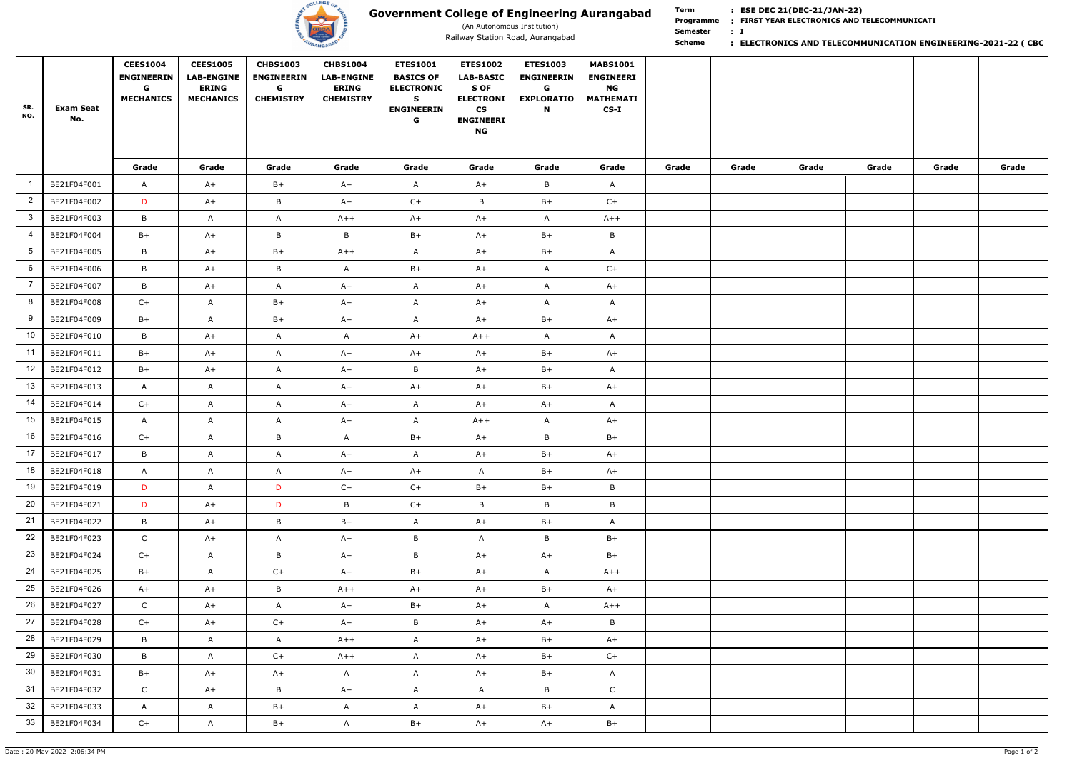

# **Government College of Engineering Aurangabad**

(An Autonomous Institution)

**Term Scheme FIRST YEAR ELECTRONICS AND TELECOMMUNICATI Programme : I : Semester :**

| SR.<br>NO.              | <b>Exam Seat</b><br>No. | <b>CEES1004</b><br><b>ENGINEERIN</b><br>G<br><b>MECHANICS</b> | <b>CEES1005</b><br><b>LAB-ENGINE</b><br><b>ERING</b><br><b>MECHANICS</b> | <b>CHBS1003</b><br><b>ENGINEERIN</b><br>G<br><b>CHEMISTRY</b> | <b>CHBS1004</b><br><b>LAB-ENGINE</b><br><b>ERING</b><br><b>CHEMISTRY</b> | <b>ETES1001</b><br><b>BASICS OF</b><br><b>ELECTRONIC</b><br>S<br><b>ENGINEERIN</b><br>G | <b>ETES1002</b><br><b>LAB-BASIC</b><br>S OF<br><b>ELECTRONI</b><br>$\mathsf{CS}\phantom{0}$<br><b>ENGINEERI</b><br><b>NG</b> | <b>ETES1003</b><br><b>ENGINEERIN</b><br>G<br><b>EXPLORATIO</b><br>N | <b>MABS1001</b><br><b>ENGINEERI</b><br>NG<br><b>MATHEMATI</b><br>$CS-I$ |       |       |       |       |       |       |
|-------------------------|-------------------------|---------------------------------------------------------------|--------------------------------------------------------------------------|---------------------------------------------------------------|--------------------------------------------------------------------------|-----------------------------------------------------------------------------------------|------------------------------------------------------------------------------------------------------------------------------|---------------------------------------------------------------------|-------------------------------------------------------------------------|-------|-------|-------|-------|-------|-------|
|                         |                         | Grade                                                         | Grade                                                                    | Grade                                                         | Grade                                                                    | Grade                                                                                   | Grade                                                                                                                        | Grade                                                               | Grade                                                                   | Grade | Grade | Grade | Grade | Grade | Grade |
|                         | BE21F04F001             | A                                                             | $A+$                                                                     | $B+$                                                          | $A+$                                                                     | $\mathsf{A}$                                                                            | $A+$                                                                                                                         | B                                                                   | $\mathsf{A}$                                                            |       |       |       |       |       |       |
| $\overline{2}$          | BE21F04F002             | D                                                             | $A+$                                                                     | B                                                             | $A+$                                                                     | $C+$                                                                                    | $\, {\sf B}$                                                                                                                 | $B+$                                                                | $C+$                                                                    |       |       |       |       |       |       |
| $\overline{\mathbf{3}}$ | BE21F04F003             | B                                                             | $\mathsf{A}$                                                             | $\mathsf{A}$                                                  | $A++$                                                                    | $A+$                                                                                    | $A+$                                                                                                                         | $\mathsf{A}$                                                        | $A++$                                                                   |       |       |       |       |       |       |
| $\overline{4}$          | BE21F04F004             | $B+$                                                          | $A+$                                                                     | B                                                             | B                                                                        | $B+$                                                                                    | $A+$                                                                                                                         | $B+$                                                                | $\, {\sf B}$                                                            |       |       |       |       |       |       |
| 5                       | BE21F04F005             | B                                                             | $A+$                                                                     | $B+$                                                          | $A++$                                                                    | $\mathsf{A}$                                                                            | $A+$                                                                                                                         | $B+$                                                                | $\mathsf{A}$                                                            |       |       |       |       |       |       |
| 6                       | BE21F04F006             | B                                                             | $A+$                                                                     | $\mathsf{B}$                                                  | A                                                                        | $B+$                                                                                    | $A+$                                                                                                                         | $\mathsf{A}$                                                        | $C+$                                                                    |       |       |       |       |       |       |
|                         | BE21F04F007             | B                                                             | $A+$                                                                     | $\mathsf{A}$                                                  | $A+$                                                                     | $\mathsf{A}$                                                                            | $A+$                                                                                                                         | $\mathsf{A}$                                                        | $A+$                                                                    |       |       |       |       |       |       |
| 8                       | BE21F04F008             | $C+$                                                          | $\mathsf{A}$                                                             | $B+$                                                          | $A+$                                                                     | $\mathsf{A}$                                                                            | $A+$                                                                                                                         | $\mathsf{A}$                                                        | $\mathsf{A}$                                                            |       |       |       |       |       |       |
| 9                       | BE21F04F009             | $B+$                                                          | $\mathsf{A}$                                                             | $B+$                                                          | $A+$                                                                     | A                                                                                       | $A+$                                                                                                                         | $B+$                                                                | $A+$                                                                    |       |       |       |       |       |       |
| 10                      | BE21F04F010             | B                                                             | $A+$                                                                     | $\mathsf{A}$                                                  | A                                                                        | $A+$                                                                                    | $A++$                                                                                                                        | $\mathsf{A}$                                                        | $\mathsf{A}$                                                            |       |       |       |       |       |       |
| 11                      | BE21F04F011             | $B+$                                                          | $A+$                                                                     | $\mathsf{A}$                                                  | $A+$                                                                     | $A+$                                                                                    | $A+$                                                                                                                         | $B+$                                                                | $A+$                                                                    |       |       |       |       |       |       |
| 12                      | BE21F04F012             | $B+$                                                          | $A+$                                                                     | $\mathsf{A}$                                                  | $A+$                                                                     | $\mathsf B$                                                                             | $A+$                                                                                                                         | $B+$                                                                | $\mathsf{A}$                                                            |       |       |       |       |       |       |
| 13                      | BE21F04F013             | A                                                             | $\mathsf{A}$                                                             | $\mathsf{A}$                                                  | $A+$                                                                     | $A+$                                                                                    | $A+$                                                                                                                         | $B+$                                                                | $A+$                                                                    |       |       |       |       |       |       |
| -14                     | BE21F04F014             | $C+$                                                          | $\mathsf{A}$                                                             | $\mathsf{A}$                                                  | $A+$                                                                     | $\mathsf{A}$                                                                            | $A+$                                                                                                                         | $A+$                                                                | $\mathsf{A}$                                                            |       |       |       |       |       |       |
| 15                      | BE21F04F015             | $\mathsf{A}$                                                  | $\mathsf{A}$                                                             | $\mathsf{A}$                                                  | $A+$                                                                     | $\mathsf{A}$                                                                            | $A++$                                                                                                                        | $\mathsf{A}$                                                        | $A+$                                                                    |       |       |       |       |       |       |
| 16                      | BE21F04F016             | $C+$                                                          | $\mathsf{A}$                                                             | B                                                             | A                                                                        | $B+$                                                                                    | $A+$                                                                                                                         | B                                                                   | $B+$                                                                    |       |       |       |       |       |       |
| 17                      | BE21F04F017             | B                                                             | A                                                                        | A                                                             | $A+$                                                                     | A                                                                                       | $A+$                                                                                                                         | $B+$                                                                | $A+$                                                                    |       |       |       |       |       |       |
| 18                      | BE21F04F018             | $\mathsf{A}$                                                  | $\mathsf{A}$                                                             | $\mathsf{A}$                                                  | $A+$                                                                     | $A+$                                                                                    | $\mathsf{A}$                                                                                                                 | $B+$                                                                | $A+$                                                                    |       |       |       |       |       |       |
| 19                      | BE21F04F019             | D                                                             | $\mathsf{A}$                                                             | D                                                             | $C+$                                                                     | $C+$                                                                                    | $B+$                                                                                                                         | $B+$                                                                | $\, {\sf B} \,$                                                         |       |       |       |       |       |       |
| 20                      | BE21F04F021             | D                                                             | $A+$                                                                     | D                                                             | B                                                                        | $C+$                                                                                    | $\, {\sf B}$                                                                                                                 | B                                                                   | $\, {\sf B} \,$                                                         |       |       |       |       |       |       |
| 21                      | BE21F04F022             | $\, {\bf B} \,$                                               | $A+$                                                                     | $\mathsf B$                                                   | $B+$                                                                     | $\mathsf{A}$                                                                            | $A+$                                                                                                                         | $B+$                                                                | $\mathsf{A}$                                                            |       |       |       |       |       |       |
| 22                      | BE21F04F023             | $\mathsf{C}$                                                  | $A+$                                                                     | $\mathsf{A}$                                                  | $A+$                                                                     | $\, {\sf B} \,$                                                                         | $\mathsf{A}$                                                                                                                 | $\mathsf{B}$                                                        | $B+$                                                                    |       |       |       |       |       |       |
| 23                      | BE21F04F024             | $C+$                                                          | $\mathsf{A}$                                                             | B                                                             | $A+$                                                                     | $\mathsf{B}$                                                                            | $A+$                                                                                                                         | $A+$                                                                | $B+$                                                                    |       |       |       |       |       |       |
| 24                      | BE21F04F025             | $B+$                                                          | $\mathsf{A}$                                                             | $C+$                                                          | $A+$                                                                     | $B+$                                                                                    | $A+$                                                                                                                         | $\mathsf{A}$                                                        | $A++$                                                                   |       |       |       |       |       |       |
| 25                      | BE21F04F026             | $A+$                                                          | $A+$                                                                     | B                                                             | $A++$                                                                    | $A+$                                                                                    | $A+$                                                                                                                         | $B+$                                                                | $A+$                                                                    |       |       |       |       |       |       |
| 26                      | BE21F04F027             | $\mathsf{C}$                                                  | $A+$                                                                     | $\mathsf{A}$                                                  | $A+$                                                                     | $B+$                                                                                    | $A+$                                                                                                                         | $\mathsf{A}$                                                        | $A++$                                                                   |       |       |       |       |       |       |
| 27                      | BE21F04F028             | $C+$                                                          | $A+$                                                                     | $C+$                                                          | $A+$                                                                     | $\mathsf{B}$                                                                            | $A+$                                                                                                                         | $A+$                                                                | $\mathsf B$                                                             |       |       |       |       |       |       |
| 28                      | BE21F04F029             | $\, {\bf B} \,$                                               | $\mathsf{A}$                                                             | $\mathsf{A}$                                                  | $A++$                                                                    | $\mathsf{A}$                                                                            | $A+$                                                                                                                         | $B+$                                                                | $A+$                                                                    |       |       |       |       |       |       |
| 29                      | BE21F04F030             | $\mathsf B$                                                   | $\mathsf{A}$                                                             | $C+$                                                          | $A++$                                                                    | $\mathsf{A}$                                                                            | $A+$                                                                                                                         | $B+$                                                                | $C+$                                                                    |       |       |       |       |       |       |
| 30                      | BE21F04F031             | $B+$                                                          | $A+$                                                                     | $A+$                                                          | $\mathsf{A}$                                                             | $\mathsf{A}$                                                                            | $A+$                                                                                                                         | $B+$                                                                | $\mathsf{A}$                                                            |       |       |       |       |       |       |
| 31                      | BE21F04F032             | $\mathsf{C}$                                                  | $A+$                                                                     | $\mathsf{B}$                                                  | $A+$                                                                     | $\mathsf{A}$                                                                            | $\mathsf{A}$                                                                                                                 | $\mathsf{B}$                                                        | $\mathsf{C}$                                                            |       |       |       |       |       |       |
| 32                      | BE21F04F033             | $\mathsf{A}$                                                  | $\mathsf{A}$                                                             | $B+$                                                          | $\mathsf{A}$                                                             | $\mathsf{A}$                                                                            | $A+$                                                                                                                         | $B+$                                                                | $\mathsf{A}$                                                            |       |       |       |       |       |       |
| 33                      | BE21F04F034             | $C+$                                                          | $\mathsf{A}$                                                             | $B+$                                                          | $\mathsf{A}$                                                             | $B+$                                                                                    | $A+$                                                                                                                         | $A+$                                                                | $B+$                                                                    |       |       |       |       |       |       |

### Railway Station Road, Aurangabad **business of the Communics of the Communication Engineering-2021-22 (CBC**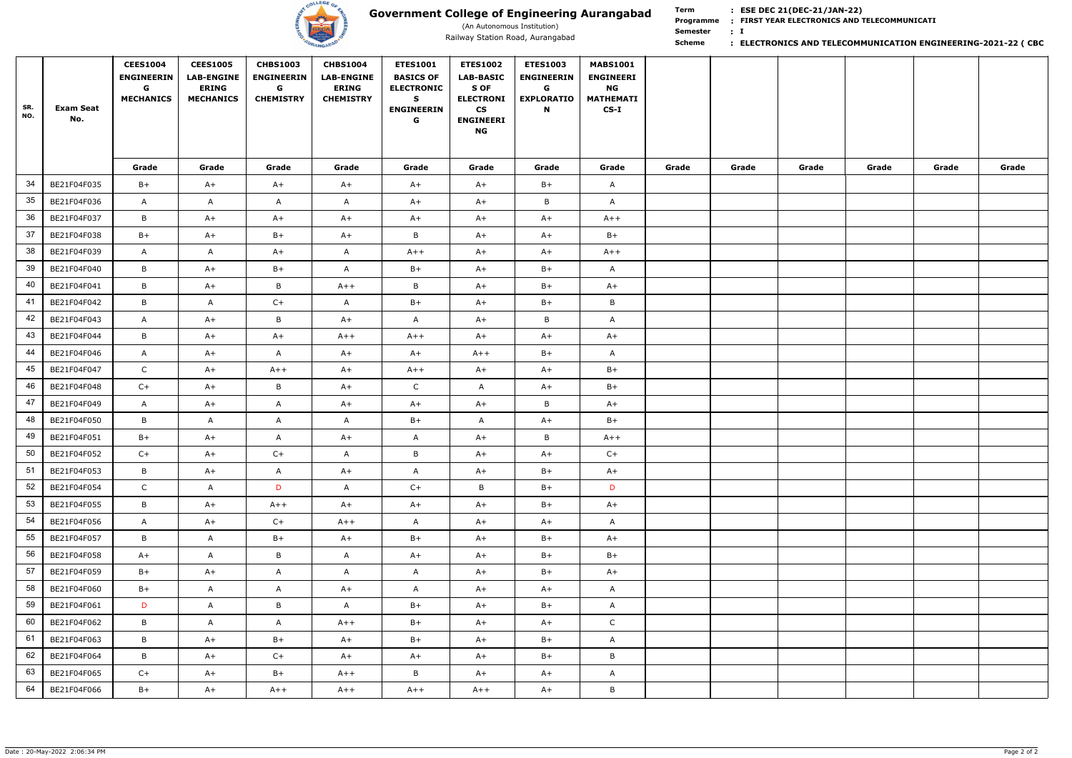

# **Government College of Engineering Aurangabad**

(An Autonomous Institution)

**Term Scheme FIRST YEAR ELECTRONICS AND TELECOMMUNICATI Programme : I : Semester :**

| SR.<br>NO. | <b>Exam Seat</b><br>No. | <b>CEES1004</b><br><b>ENGINEERIN</b><br>G<br><b>MECHANICS</b> | <b>CEES1005</b><br><b>LAB-ENGINE</b><br><b>ERING</b><br><b>MECHANICS</b> | <b>CHBS1003</b><br><b>ENGINEERIN</b><br>G<br><b>CHEMISTRY</b> | <b>CHBS1004</b><br><b>LAB-ENGINE</b><br><b>ERING</b><br><b>CHEMISTRY</b> | <b>ETES1001</b><br><b>BASICS OF</b><br><b>ELECTRONIC</b><br>S<br><b>ENGINEERIN</b><br>G | <b>ETES1002</b><br><b>LAB-BASIC</b><br>S OF<br><b>ELECTRONI</b><br>$\mathsf{CS}\phantom{0}$<br><b>ENGINEERI</b><br><b>NG</b> | <b>ETES1003</b><br><b>ENGINEERIN</b><br>G<br><b>EXPLORATIO</b><br>N | <b>MABS1001</b><br><b>ENGINEERI</b><br><b>NG</b><br><b>MATHEMATI</b><br>$CS-I$ |       |       |       |       |       |       |
|------------|-------------------------|---------------------------------------------------------------|--------------------------------------------------------------------------|---------------------------------------------------------------|--------------------------------------------------------------------------|-----------------------------------------------------------------------------------------|------------------------------------------------------------------------------------------------------------------------------|---------------------------------------------------------------------|--------------------------------------------------------------------------------|-------|-------|-------|-------|-------|-------|
|            |                         | Grade                                                         | Grade                                                                    | Grade                                                         | Grade                                                                    | Grade                                                                                   | Grade                                                                                                                        | Grade                                                               | Grade                                                                          | Grade | Grade | Grade | Grade | Grade | Grade |
| 34         | BE21F04F035             | $B+$                                                          | $A+$                                                                     | $A+$                                                          | $A+$                                                                     | $A+$                                                                                    | $A+$                                                                                                                         | $B+$                                                                | $\mathsf{A}$                                                                   |       |       |       |       |       |       |
| 35         | BE21F04F036             | A                                                             | $\mathsf{A}$                                                             | $\mathsf{A}$                                                  | A                                                                        | $A+$                                                                                    | $A+$                                                                                                                         | B                                                                   | $\mathsf{A}$                                                                   |       |       |       |       |       |       |
| 36         | BE21F04F037             | B                                                             | $A+$                                                                     | $A+$                                                          | $A+$                                                                     | $A+$                                                                                    | $A+$                                                                                                                         | $A+$                                                                | $A++$                                                                          |       |       |       |       |       |       |
| 37         | BE21F04F038             | $B+$                                                          | $A+$                                                                     | $B+$                                                          | $A+$                                                                     | $\mathsf B$                                                                             | $A+$                                                                                                                         | $A+$                                                                | $B+$                                                                           |       |       |       |       |       |       |
| 38         | BE21F04F039             | A                                                             | $\mathsf{A}$                                                             | $A+$                                                          | $\mathsf{A}$                                                             | $A++$                                                                                   | $A+$                                                                                                                         | $A+$                                                                | $A++$                                                                          |       |       |       |       |       |       |
| 39         | BE21F04F040             | B                                                             | $A+$                                                                     | $B+$                                                          | A                                                                        | $B+$                                                                                    | $A+$                                                                                                                         | $B+$                                                                | $\mathsf{A}$                                                                   |       |       |       |       |       |       |
| 40         | BE21F04F041             | B                                                             | $A+$                                                                     | B                                                             | $A++$                                                                    | B                                                                                       | $A+$                                                                                                                         | $B+$                                                                | $A+$                                                                           |       |       |       |       |       |       |
| 41         | BE21F04F042             | B                                                             | $\mathsf{A}$                                                             | $C+$                                                          | $\mathsf{A}$                                                             | $B+$                                                                                    | $A+$                                                                                                                         | $B+$                                                                | B                                                                              |       |       |       |       |       |       |
| 42         | BE21F04F043             | A                                                             | $A+$                                                                     | B                                                             | $A+$                                                                     | $\mathsf{A}$                                                                            | $A+$                                                                                                                         | $\mathsf{B}$                                                        | A                                                                              |       |       |       |       |       |       |
| 43         | BE21F04F044             | B                                                             | $A+$                                                                     | $A+$                                                          | $A++$                                                                    | $A++$                                                                                   | $A+$                                                                                                                         | $A+$                                                                | $A+$                                                                           |       |       |       |       |       |       |
| 44         | BE21F04F046             | A                                                             | $A+$                                                                     | $\mathsf{A}$                                                  | $A+$                                                                     | $A+$                                                                                    | $A++$                                                                                                                        | $B+$                                                                | $\mathsf{A}$                                                                   |       |       |       |       |       |       |
| 45         | BE21F04F047             | $\mathsf{C}$                                                  | $A+$                                                                     | $A++$                                                         | $A+$                                                                     | $A++$                                                                                   | $A+$                                                                                                                         | $A+$                                                                | $B+$                                                                           |       |       |       |       |       |       |
| 46         | BE21F04F048             | $C+$                                                          | $A+$                                                                     | B                                                             | $A+$                                                                     | $\mathsf{C}$                                                                            | $\mathsf{A}$                                                                                                                 | $A+$                                                                | $B+$                                                                           |       |       |       |       |       |       |
| 47         | BE21F04F049             | A                                                             | $A+$                                                                     | $\mathsf{A}$                                                  | $A+$                                                                     | $A+$                                                                                    | $A+$                                                                                                                         | $\mathsf{B}$                                                        | $A+$                                                                           |       |       |       |       |       |       |
| 48         | BE21F04F050             | B                                                             | $\mathsf{A}$                                                             | $\mathsf{A}$                                                  | A                                                                        | $B+$                                                                                    | $\mathsf{A}$                                                                                                                 | $A+$                                                                | $B+$                                                                           |       |       |       |       |       |       |
| 49         | BE21F04F051             | $B+$                                                          | $A+$                                                                     | A                                                             | $A+$                                                                     | A                                                                                       | $A+$                                                                                                                         | B                                                                   | $A++$                                                                          |       |       |       |       |       |       |
| 50         | BE21F04F052             | $C+$                                                          | $A+$                                                                     | $C++$                                                         | A                                                                        | B                                                                                       | $A+$                                                                                                                         | $A+$                                                                | $C+$                                                                           |       |       |       |       |       |       |
| 51         | BE21F04F053             | B                                                             | $A+$                                                                     | $\mathsf{A}$                                                  | $A+$                                                                     | $\mathsf{A}$                                                                            | $A+$                                                                                                                         | $B+$                                                                | $A+$                                                                           |       |       |       |       |       |       |
| 52         | BE21F04F054             | $\mathsf{C}$                                                  | $\mathsf{A}$                                                             | D                                                             | $\mathsf{A}$                                                             | $C+$                                                                                    | $\, {\sf B}$                                                                                                                 | $B+$                                                                | D                                                                              |       |       |       |       |       |       |
| 53         | BE21F04F055             | B                                                             | $A+$                                                                     | $A++$                                                         | $A+$                                                                     | $A+$                                                                                    | $A+$                                                                                                                         | $B+$                                                                | $A+$                                                                           |       |       |       |       |       |       |
| 54         | BE21F04F056             | A                                                             | $A+$                                                                     | $C+$                                                          | $A++$                                                                    | $\mathsf{A}$                                                                            | $A+$                                                                                                                         | $A+$                                                                | $\mathsf{A}$                                                                   |       |       |       |       |       |       |
| 55         | BE21F04F057             | B                                                             | $\mathsf{A}$                                                             | $B+$                                                          | $A+$                                                                     | $B+$                                                                                    | $A+$                                                                                                                         | $B+$                                                                | $A+$                                                                           |       |       |       |       |       |       |
| 56         | BE21F04F058             | $A+$                                                          | $\mathsf{A}$                                                             | $\mathsf{B}$                                                  | $\mathsf{A}$                                                             | $A+$                                                                                    | $A+$                                                                                                                         | $B+$                                                                | $B+$                                                                           |       |       |       |       |       |       |
| 57         | BE21F04F059             | $B+$                                                          | $A+$                                                                     | $\mathsf{A}$                                                  | $\mathsf{A}$                                                             | $\mathsf{A}$                                                                            | $A+$                                                                                                                         | $B+$                                                                | $A+$                                                                           |       |       |       |       |       |       |
| 58         | BE21F04F060             | $B+$                                                          | $\mathsf{A}$                                                             | $\mathsf{A}$                                                  | $A+$                                                                     | $\mathsf{A}$                                                                            | $A+$                                                                                                                         | $A+$                                                                | $\mathsf{A}$                                                                   |       |       |       |       |       |       |
| 59         | BE21F04F061             | D                                                             | $\mathsf{A}$                                                             | B                                                             | A                                                                        | $B+$                                                                                    | $A+$                                                                                                                         | $B+$                                                                | $\mathsf{A}$                                                                   |       |       |       |       |       |       |
| 60         | BE21F04F062             | B                                                             | $\mathsf{A}$                                                             | $\mathsf{A}$                                                  | $A++$                                                                    | $B+$                                                                                    | $A+$                                                                                                                         | $A+$                                                                | $\mathsf{C}$                                                                   |       |       |       |       |       |       |
| 61         | BE21F04F063             | $\mathsf B$                                                   | $A+$                                                                     | $B+$                                                          | $A+$                                                                     | $B+$                                                                                    | $A+$                                                                                                                         | $B+$                                                                | $\mathsf{A}$                                                                   |       |       |       |       |       |       |
| 62         | BE21F04F064             | B                                                             | $A+$                                                                     | $C+$                                                          | $A+$                                                                     | $A+$                                                                                    | $A+$                                                                                                                         | $B+$                                                                | $\, {\sf B} \,$                                                                |       |       |       |       |       |       |
| 63         | BE21F04F065             | $C+$                                                          | $A+$                                                                     | $B+$                                                          | $A++$                                                                    | $\mathsf B$                                                                             | $A+$                                                                                                                         | $A+$                                                                | $\mathsf{A}$                                                                   |       |       |       |       |       |       |
| 64         | BE21F04F066             | $B+$                                                          | $A+$                                                                     | $A++$                                                         | $A++$                                                                    | $A++$                                                                                   | $A++$                                                                                                                        | $A+$                                                                | $\, {\sf B}$                                                                   |       |       |       |       |       |       |

### Railway Station Road, Aurangabad **business of the Communics of the Communication Engineering-2021-22 (CBC**